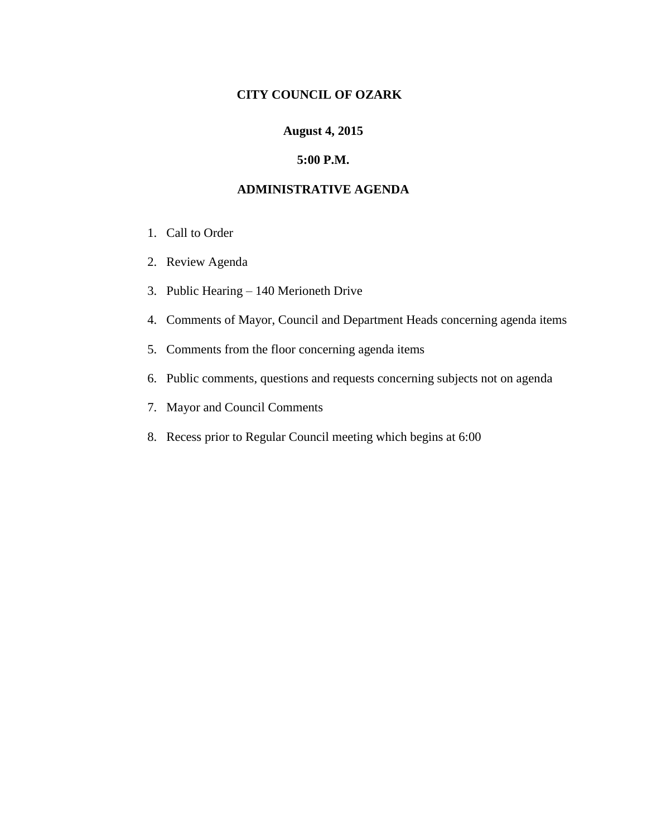## **CITY COUNCIL OF OZARK**

### **August 4, 2015**

#### **5:00 P.M.**

#### **ADMINISTRATIVE AGENDA**

- 1. Call to Order
- 2. Review Agenda
- 3. Public Hearing 140 Merioneth Drive
- 4. Comments of Mayor, Council and Department Heads concerning agenda items
- 5. Comments from the floor concerning agenda items
- 6. Public comments, questions and requests concerning subjects not on agenda
- 7. Mayor and Council Comments
- 8. Recess prior to Regular Council meeting which begins at 6:00